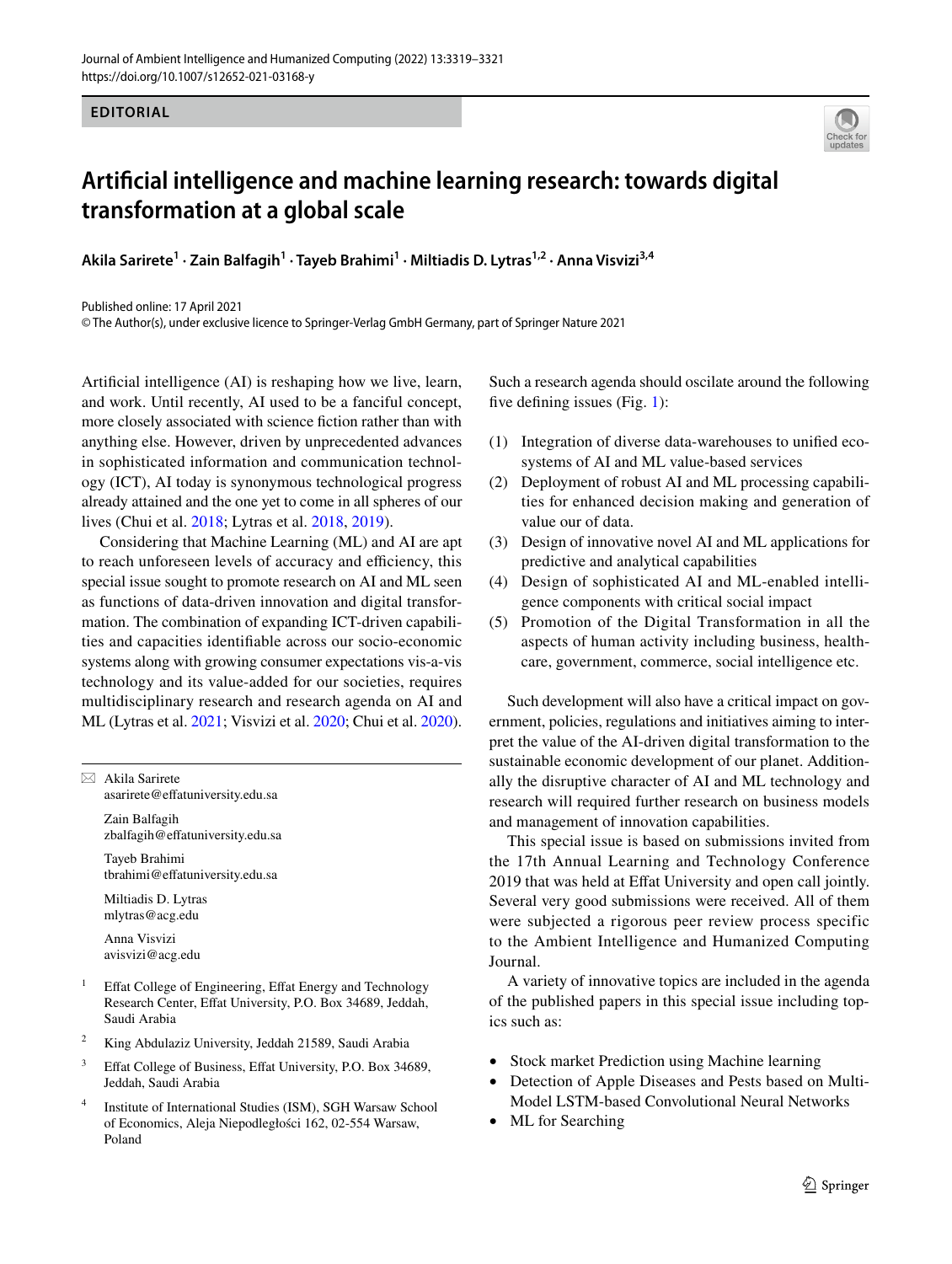

## **Artifcial intelligence and machine learning research: towards digital transformation at a global scale**

**Akila Sarirete1 · Zain Balfagih1 · Tayeb Brahimi<sup>1</sup> · Miltiadis D. Lytras1,2 · Anna Visvizi3,4**

Published online: 17 April 2021

© The Author(s), under exclusive licence to Springer-Verlag GmbH Germany, part of Springer Nature 2021

Artifcial intelligence (AI) is reshaping how we live, learn, and work. Until recently, AI used to be a fanciful concept, more closely associated with science fiction rather than with anything else. However, driven by unprecedented advances in sophisticated information and communication technology (ICT), AI today is synonymous technological progress already attained and the one yet to come in all spheres of our lives (Chui et al. [2018;](#page-2-0) Lytras et al. [2018](#page-2-1), [2019](#page-2-2)).

Considering that Machine Learning (ML) and AI are apt to reach unforeseen levels of accuracy and efficiency, this special issue sought to promote research on AI and ML seen as functions of data-driven innovation and digital transformation. The combination of expanding ICT-driven capabilities and capacities identifable across our socio-economic systems along with growing consumer expectations vis-a-vis technology and its value-added for our societies, requires multidisciplinary research and research agenda on AI and ML (Lytras et al. [2021](#page-2-3); Visvizi et al. [2020;](#page-2-4) Chui et al. [2020](#page-2-5)).

 $\boxtimes$  Akila Sarirete asarirete@efatuniversity.edu.sa

> Zain Balfagih zbalfagih@efatuniversity.edu.sa

Tayeb Brahimi tbrahimi@efatuniversity.edu.sa

Miltiadis D. Lytras mlytras@acg.edu

Anna Visvizi avisvizi@acg.edu

- Effat College of Engineering, Effat Energy and Technology Research Center, Effat University, P.O. Box 34689, Jeddah, Saudi Arabia
- <sup>2</sup> King Abdulaziz University, Jeddah 21589, Saudi Arabia
- <sup>3</sup> Effat College of Business, Effat University, P.O. Box 34689, Jeddah, Saudi Arabia
- Institute of International Studies (ISM), SGH Warsaw School of Economics, Aleja Niepodległości 162, 02-554 Warsaw, Poland

Such a research agenda should oscilate around the following five defining issues (Fig. [1\)](#page-1-0):

- (1) Integration of diverse data-warehouses to unifed ecosystems of AI and ML value-based services
- (2) Deployment of robust AI and ML processing capabilities for enhanced decision making and generation of value our of data.
- (3) Design of innovative novel AI and ML applications for predictive and analytical capabilities
- (4) Design of sophisticated AI and ML-enabled intelligence components with critical social impact
- (5) Promotion of the Digital Transformation in all the aspects of human activity including business, healthcare, government, commerce, social intelligence etc.

Such development will also have a critical impact on government, policies, regulations and initiatives aiming to interpret the value of the AI-driven digital transformation to the sustainable economic development of our planet. Additionally the disruptive character of AI and ML technology and research will required further research on business models and management of innovation capabilities.

This special issue is based on submissions invited from the 17th Annual Learning and Technology Conference 2019 that was held at Effat University and open call jointly. Several very good submissions were received. All of them were subjected a rigorous peer review process specific to the Ambient Intelligence and Humanized Computing Journal.

A variety of innovative topics are included in the agenda of the published papers in this special issue including topics such as:

- Stock market Prediction using Machine learning
- Detection of Apple Diseases and Pests based on Multi-Model LSTM-based Convolutional Neural Networks
- ML for Searching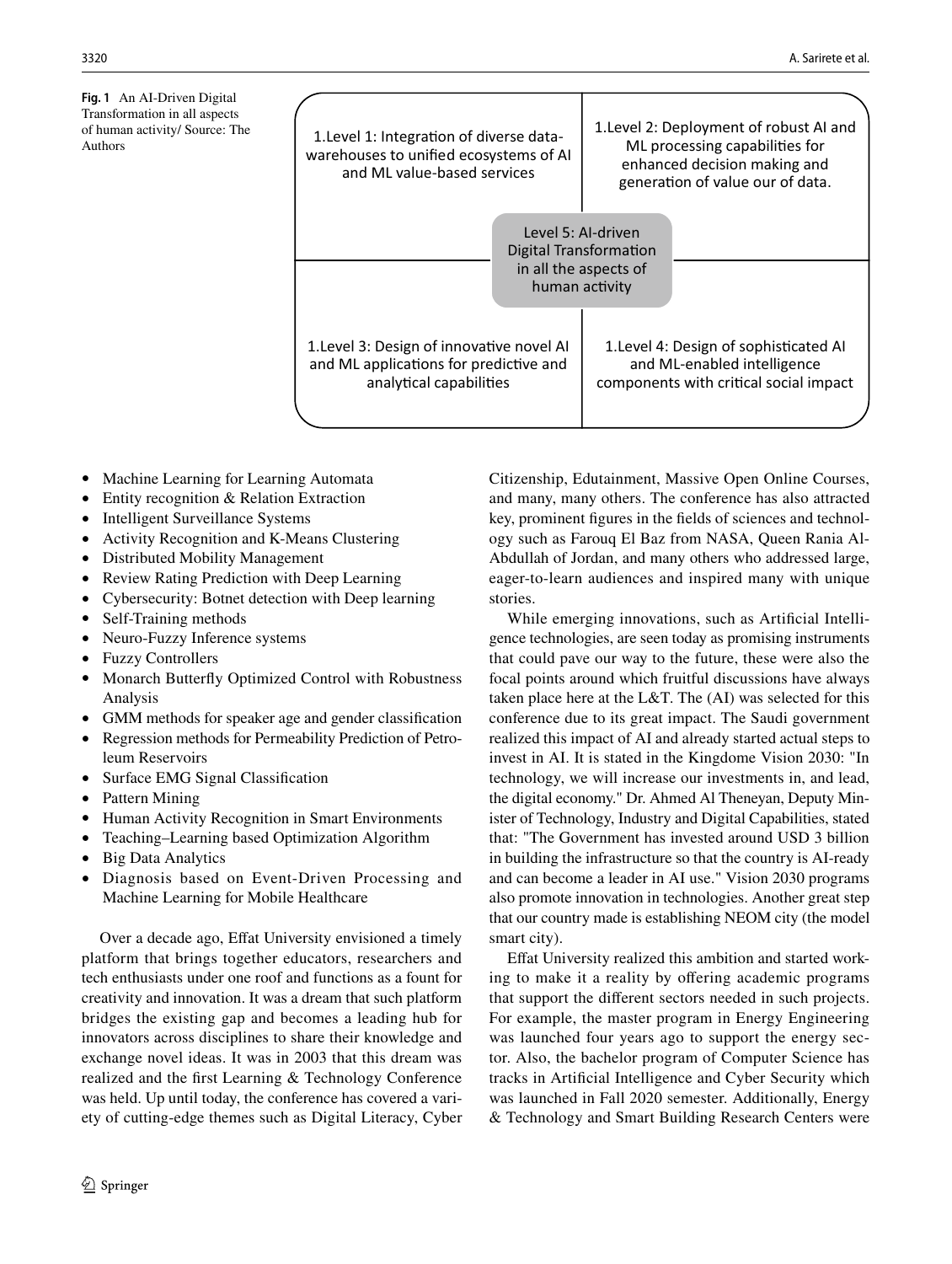<span id="page-1-0"></span>**Fig. 1** An AI-Driven Digital Transformation in all aspects of human activity/ Source: The

| Transformation in all aspects<br>of human activity/ Source: The<br>Authors | 1. Level 1: Integration of diverse data-<br>warehouses to unified ecosystems of AI<br>and ML value-based services | 1. Level 2: Deployment of robust AI and<br>ML processing capabilities for<br>enhanced decision making and<br>generation of value our of data. |
|----------------------------------------------------------------------------|-------------------------------------------------------------------------------------------------------------------|-----------------------------------------------------------------------------------------------------------------------------------------------|
|                                                                            |                                                                                                                   | Level 5: Al-driven<br>Digital Transformation<br>in all the aspects of<br>human activity                                                       |
|                                                                            | 1. Level 3: Design of innovative novel AI<br>and ML applications for predictive and<br>analytical capabilities    | 1. Level 4: Design of sophisticated AI<br>and ML-enabled intelligence<br>components with critical social impact                               |

- Machine Learning for Learning Automata
- Entity recognition & Relation Extraction
- Intelligent Surveillance Systems
- Activity Recognition and K-Means Clustering
- Distributed Mobility Management
- Review Rating Prediction with Deep Learning
- Cybersecurity: Botnet detection with Deep learning
- Self-Training methods
- Neuro-Fuzzy Inference systems
- Fuzzy Controllers
- Monarch Butterfy Optimized Control with Robustness Analysis
- GMM methods for speaker age and gender classifcation
- Regression methods for Permeability Prediction of Petroleum Reservoirs
- Surface EMG Signal Classification
- Pattern Mining
- Human Activity Recognition in Smart Environments
- Teaching–Learning based Optimization Algorithm
- Big Data Analytics
- Diagnosis based on Event-Driven Processing and Machine Learning for Mobile Healthcare

Over a decade ago, Effat University envisioned a timely platform that brings together educators, researchers and tech enthusiasts under one roof and functions as a fount for creativity and innovation. It was a dream that such platform bridges the existing gap and becomes a leading hub for innovators across disciplines to share their knowledge and exchange novel ideas. It was in 2003 that this dream was realized and the frst Learning & Technology Conference was held. Up until today, the conference has covered a variety of cutting-edge themes such as Digital Literacy, Cyber Citizenship, Edutainment, Massive Open Online Courses, and many, many others. The conference has also attracted key, prominent fgures in the felds of sciences and technology such as Farouq El Baz from NASA, Queen Rania Al-Abdullah of Jordan, and many others who addressed large, eager-to-learn audiences and inspired many with unique stories.

While emerging innovations, such as Artifcial Intelligence technologies, are seen today as promising instruments that could pave our way to the future, these were also the focal points around which fruitful discussions have always taken place here at the L&T. The (AI) was selected for this conference due to its great impact. The Saudi government realized this impact of AI and already started actual steps to invest in AI. It is stated in the Kingdome Vision 2030: "In technology, we will increase our investments in, and lead, the digital economy." Dr. Ahmed Al Theneyan, Deputy Minister of Technology, Industry and Digital Capabilities, stated that: "The Government has invested around USD 3 billion in building the infrastructure so that the country is AI-ready and can become a leader in AI use." Vision 2030 programs also promote innovation in technologies. Another great step that our country made is establishing NEOM city (the model smart city).

Efat University realized this ambition and started working to make it a reality by offering academic programs that support the diferent sectors needed in such projects. For example, the master program in Energy Engineering was launched four years ago to support the energy sector. Also, the bachelor program of Computer Science has tracks in Artifcial Intelligence and Cyber Security which was launched in Fall 2020 semester. Additionally, Energy & Technology and Smart Building Research Centers were